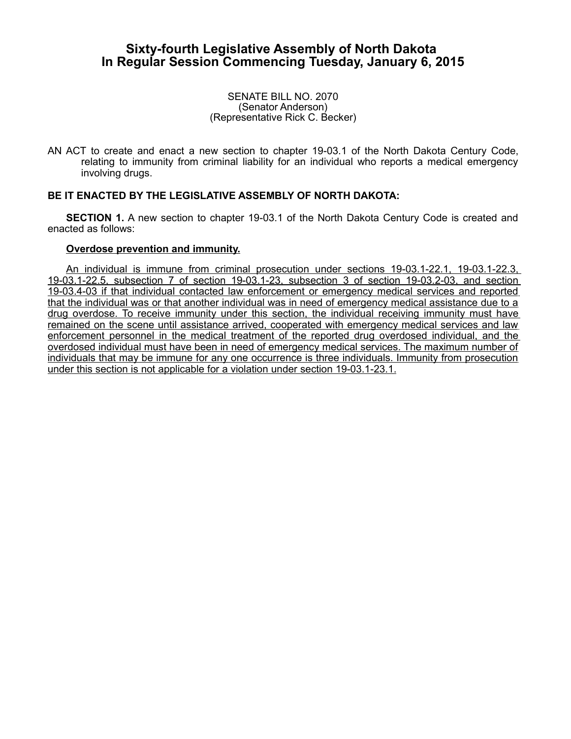## **Sixty-fourth Legislative Assembly of North Dakota In Regular Session Commencing Tuesday, January 6, 2015**

SENATE BILL NO. 2070 (Senator Anderson) (Representative Rick C. Becker)

AN ACT to create and enact a new section to chapter 19-03.1 of the North Dakota Century Code, relating to immunity from criminal liability for an individual who reports a medical emergency involving drugs.

## **BE IT ENACTED BY THE LEGISLATIVE ASSEMBLY OF NORTH DAKOTA:**

**SECTION 1.** A new section to chapter 19-03.1 of the North Dakota Century Code is created and enacted as follows:

## **Overdose prevention and immunity.**

An individual is immune from criminal prosecution under sections 19-03.1-22.1, 19-03.1-22.3, 19-03.1-22.5, subsection 7 of section 19-03.1-23, subsection 3 of section 19-03.2-03, and section 19-03.4-03 if that individual contacted law enforcement or emergency medical services and reported that the individual was or that another individual was in need of emergency medical assistance due to a drug overdose. To receive immunity under this section, the individual receiving immunity must have remained on the scene until assistance arrived, cooperated with emergency medical services and law enforcement personnel in the medical treatment of the reported drug overdosed individual, and the overdosed individual must have been in need of emergency medical services. The maximum number of individuals that may be immune for any one occurrence is three individuals. Immunity from prosecution under this section is not applicable for a violation under section 19-03.1-23.1.